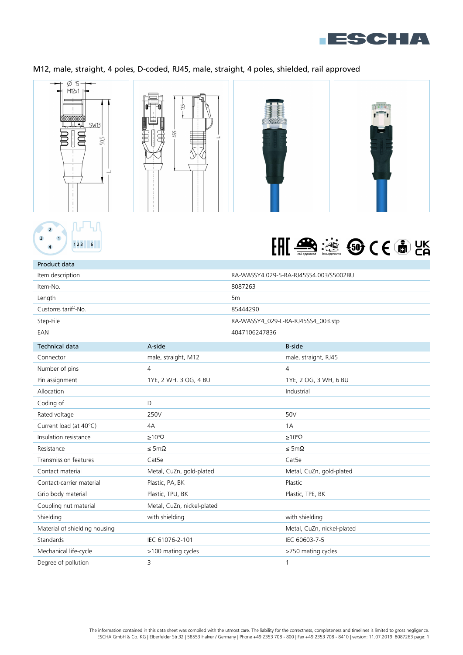

## M12, male, straight, 4 poles, D-coded, RJ45, male, straight, 4 poles, shielded, rail approved







| Product data                  |                            |                |                                        |
|-------------------------------|----------------------------|----------------|----------------------------------------|
| Item description              |                            |                | RA-WASSY4.029-5-RA-RJ45SS4.003/S5002BU |
| Item-No.                      |                            | 8087263        |                                        |
| Length                        |                            | 5 <sub>m</sub> |                                        |
| Customs tariff-No.            |                            | 85444290       |                                        |
| Step-File                     |                            |                | RA-WASSY4_029-L-RA-RJ45SS4_003.stp     |
| EAN                           |                            | 4047106247836  |                                        |
| <b>Technical data</b>         | A-side                     |                | <b>B-side</b>                          |
| Connector                     | male, straight, M12        |                | male, straight, RJ45                   |
| Number of pins                | $\overline{4}$             |                | $\overline{4}$                         |
| Pin assignment                | 1YE, 2 WH. 3 OG, 4 BU      |                | 1YE, 2 OG, 3 WH, 6 BU                  |
| Allocation                    |                            |                | Industrial                             |
| Coding of                     | D                          |                |                                        |
| Rated voltage                 | 250V                       |                | 50V                                    |
| Current load (at 40°C)        | 4A                         |                | 1A                                     |
| Insulation resistance         | $\geq 10^8 \Omega$         |                | $\geq 10^8 \Omega$                     |
| Resistance                    | $\leq$ 5m $\Omega$         |                | $\leq$ 5m $\Omega$                     |
| <b>Transmission features</b>  | Cat <sub>5e</sub>          |                | Cat <sub>5e</sub>                      |
| Contact material              | Metal, CuZn, gold-plated   |                | Metal, CuZn, gold-plated               |
| Contact-carrier material      | Plastic, PA, BK            |                | Plastic                                |
| Grip body material            | Plastic, TPU, BK           |                | Plastic, TPE, BK                       |
| Coupling nut material         | Metal, CuZn, nickel-plated |                |                                        |
| Shielding                     | with shielding             |                | with shielding                         |
| Material of shielding housing |                            |                | Metal, CuZn, nickel-plated             |
| Standards                     | IEC 61076-2-101            |                | IEC 60603-7-5                          |
| Mechanical life-cycle         | >100 mating cycles         |                | >750 mating cycles                     |
| Degree of pollution           | 3                          |                | 1                                      |